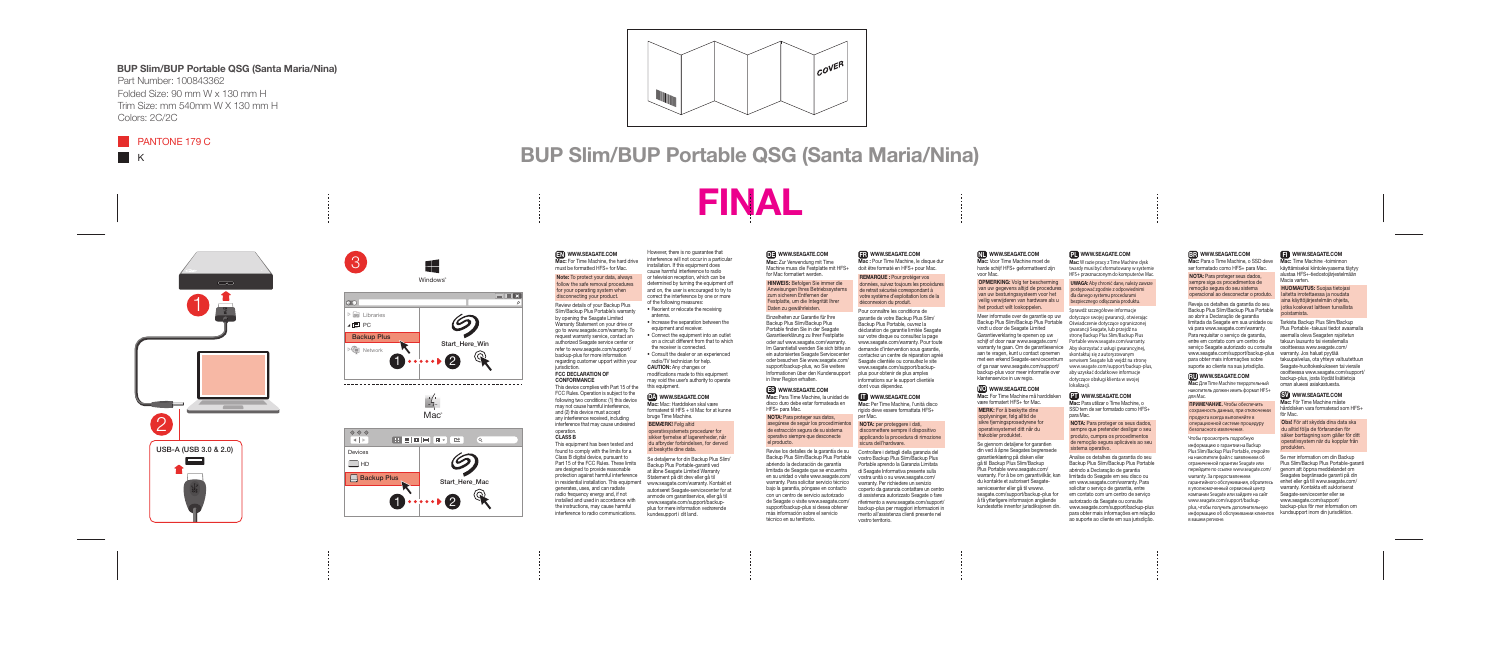Review details of your Backup Plus Slim/Backup Plus Portable's warranty by opening the Seagate Limited Warranty Statement on your drive or go to www.seagate.com/warranty. To request warranty service, contact an authorized Seagate service center or refer to www.seagate.com/support/ backup-plus for more information regarding customer upport within your jurisdiction.

# EN WWW.SEAGATE.COM

Mac: For Time Machine, the hard drive must be formatted HFS+ for Mac.

#### Note: To protect your data, always follow the safe removal procedures for your operating system when disconnecting your product.

#### FCC DECLARATION OF **CONFORMANCE**

This device complies with Part 15 of the FCC Rules. Operation is subject to the following two conditions: (1) this device may not cause harmful interference, and (2) this device must accept any interference received, including interference that may cause undesired operation.

#### CLASS B

#### this equipment. DA WWW.SEAGATE.COM

This equipment has been tested and found to comply with the limits for a Class B digital device, pursuant to Part 15 of the FCC Rules. These limits are designed to provide reasonable protection against harmful interference in residential installation. This equipment generates, uses, and can radiate radio frequency energy and, if not installed and used in accordance with the instructions, may cause harmful interference to radio communications.

However, there is no guarantee that interference will not occur in a particular installation. If this equipment does cause harmful interference to radio or television reception, which can be determined by turning the equipment off and on, the user is encouraged to try to correct the interference by one or more of the following measures: • Reorient or relocate the receiving antenna.

- Increase the separation between the equipment and receiver.
- Connect the equipment into an outlet on a circuit different from that to which the receiver is connected.
- Consult the dealer or an experienced radio/TV technician for help. CAUTION: Any changes or modifications made to this equipment may void the user's authority to operate

Mac : Pour Time Machine, le disque dur doit être formaté en HFS+ pour Mac.

Mac: Mac: Harddisken skal være formateret til HFS + til Mac for at kunne bruge Time Machine.

#### BEMÆRK! Følg altid

operativsystemets procedurer for sikker fjernelse af lagerenheder, når du afbryder forbindelsen, for derved at beskytte dine data.

Mac: Per Time Machine, l'unità disco rigido deve essere formattata HFS+ per Mac.

Se detaljerne for din Backup Plus Slim/ Backup Plus Portable-garanti ved at åbne Seagate Limited Warranty Statement på dit drev eller gå til www.seagate.com/warranty. Kontakt et autoriseret Seagate-servicecenter for at anmode om garantiservice, eller gå til www.seagate.com/support/backupplus for mere information vedrørende kundesupport i dit land.

## **DE WWW.SEAGATE.COM**

Mac: Zur Verwendung mit Time Machine muss die Festplatte mit HFS+ for Mac formatiert werden.

HINWEIS: Befolgen Sie immer die Anweisungen Ihres Betriebssystems zum sicheren Entfernen der Festplatte, um die Integrität Ihrer Daten zu gewährleisten.

> Mac: For Time Machine må harddis være formatert HFS+ for Mac.

Einzelheiten zur Garantie für Ihre Backup Plus Slim/Backup Plus Portable finden Sie in der Seagate Garantieerklärung zu Ihrer Festplatte oder auf www.seagate.com/warranty. Im Garantiefall wenden Sie sich bitte an ein autorisiertes Seagate Servicecenter oder besuchen Sie www.seagate.com/ support/backup-plus, wo Sie weitere Informationen über den Kundensupport in Ihrer Region erhalten.

> Se gjennom detaljene for garantier din ved å åpne Seagates begrensede garantierklæring på disken eller gå til Backup Plus Slim/Backup Plus Portable www.seagate.com/ warranty. For å be om garantivilkår, kan du kontakte et autorisert Seagateservicesenter eller gå til wwww. seagate.com/support/backup-plus for å få ytterligere informasjon angående kundestøtte innenfor jurisdiksjonen din.

## ES WWW.SEAGATE.COM

Sprawdź szczegółowe informacje dotyczące swojej gwarancji, otwierając gwarancji Seagate, lub przejdź na stronę Backup Plus Slim/Backup Plus Portable www.seagate.com/warranty. skontaktuj się z autoryzowanym www.seagate.com/support/backup-plus, aby uzyskać dodatkowe informacje dotyczące obsługi klienta w swojej lokalizacji.

#### **PT** WWW.SEAGATE.COM

Mac: Para Time Machine, la unidad de disco duro debe estar formateada en HFS+ para Mac.

NOTA: Para proteger sus datos, asegúrese de seguir los procedimientos de extracción segura de su sistema operativo siempre que desconecte el producto.

Mac: Para utilizar o Time Machine, o SSD tem de ser formatado como HFS+ para Mac.

Revise los detalles de la garantía de su Backup Plus Slim/Backup Plus Portable abriendo la declaración de garantía limitada de Seagate que se encuentra en su unidad o visite www.seagate.com/ warranty. Para solicitar servicio técnico bajo la garantía, póngase en contacto con un centro de servicio autorizado de Seagate o visite www.seagate.com/ support/backup-plus si desea obtener más información sobre el servicio técnico en su territorio.

#### FR WWW.SEAGATE.COM

REMARQUE : Pour protéger vos données, suivez toujours les procédures de retrait sécurisé correspondant à votre système d'exploitation lors de la déconnexion du produit.

Pour connaître les conditions de garantie de votre Backup Plus Slim/ Backup Plus Portable, ouvrez la déclaration de garantie limitée Seagate sur votre disque ou consultez la page www.seagate.com/warranty. Pour toute demande d'intervention sous garantie, contactez un centre de réparation agréé Seagate clientèle ou consultez le site www.seagate.com/support/backupplus pour obtenir de plus amples informations sur le support clientèle dont vous dépendez.

#### **IT WWW.SEAGATE.COM**

Mac: Time Machine -toiminnon käyttämiseksi kiintolevyasema täytyy alustaa HFS+-tiedostojärjestelmään Macia varten.

NOTA: per proteggere i dati, disconnettere sempre il dispositivo applicando la procedura di rimozione sicura dell'hardware.

Controllare i dettagli della garanzia del vostro Backup Plus Slim/Backup Plus Portable aprendo la Garanzia Limitata di Seagate Informativa presente sulla vostra unità o su www.seagate.com/ warranty. Per richiedere un servizio coperto da garanzia contattare un centro di assistenza autorizzato Seagate o fare riferimento a www.seagate.com/support/ backup-plus per maggiori informazioni in merito all'assistenza clienti presente nel vostro territorio.

#### NL WWW.SEAGATE.COM

Mac: Voor Time Machine moet de harde schijf HFS+ geformatteerd zijn voor Mac.

OPMERKING: Volg ter bescherming van uw gegevens altijd de procedures van uw besturingssysteem voor het veilig verwijderen van hardware als u het product wilt loskoppelen.

Meer informatie over de garantie op uw Backup Plus Slim/Backup Plus Portable Oświadczenie dotyczące ograniczonej vindt u door de Seagate Limited Garantieverklaring te openen op uw schijf of door naar www.seagate.com/ warranty te gaan. Om de garantieservice Aby skorzystać z usługi gwarancyjnej, aan te vragen, kunt u contact opnemen met een erkend Seagate-servicecentrum serwisem Seagate lub wejdź na stronę of ga naar www.seagate.com/support/ backup-plus voor meer informatie over klantenservice in uw regio.

#### NO WWW.SEAGATE.COM

MERK: For å beskytte dine opplysninger, følg alltid de sikre fjerningsprosedyrene for operativsystemet ditt når du frakobler produktet.

#### PLWWW.SEAGATE.COM

**Mac:** W razie pracy z Time Machine dysk twardy musi być sformatowany w systemie HFS+ przeznaczonym do komputerów Mac.

**UWAGA:** Aby chronić dane, należy zawsze postępować zgodnie z odpowiednimi dla danego systemu procedurami bezpiecznego odłączania produktu.

NOTA: Para proteger os seus dados, sempre que pretender desligar o seu produto, cumpra os procedimentos de remoção segura aplicáveis ao seu sistema operativo.

Analise os detalhes da garantia do seu Backup Plus Slim/Backup Plus Portable abrindo a Declaração de garantia limitada do Seagate em seu disco ou em www.seagate.com/warranty. Para solicitar o serviço de garantia, entre em contato com um centro de serviço autorizado da Seagate ou consulte www.seagate.com/support/backup-plus para obter mais informações em relação ao suporte ao cliente em sua jurisdição.

# **BR** WWW.SEAGATE.COM

Mac: Para o Time Machine, o SSD deve ser formatado como HFS+ para Mac.

NOTA: Para proteger seus dados, sempre siga os procedimentos de remoção segura do seu sistema operacional ao desconectar o produto.

Reveja os detalhes da garantia do seu Backup Plus Slim/Backup Plus Portable ao abrir a Declaração de garantia limitada da Seagate em sua unidade ou vá para www.seagate.com/warranty. Para requisitar o serviço de garantia, entre em contato com um centro de serviço Seagate autorizado ou consulte www.seagate.com/support/backup-plus warranty. Jos haluat pyytää para obter mais informações sobre suporte ao cliente na sua jurisdição.

# RUWWW.SEAGATE.COM

**Mac:** Для Time Machine твердотельный накопитель должен иметь формат HFS+ для Mac.

**ПРИМЕЧАНИЕ.** Чтобы обеспечить сохранность данных, при отключении продукта всегда выполняйте в операционной системе процедуру безопасного извлечения.

Чтобы просмотреть подробную информацию о гарантии на Backup Plus Slim/Backup Plus Portable, откройте на накопителе файл с заявлением об ограниченной гарантии Seagate или перейдите по ссылке www.seagate.com/ warranty. За предоставлением гарантийного обслуживания, обратитесь в уполномоченный сервисный центр компании Seagate или зайдите на сайт www.seagate.com/support/backupplus, чтобы получить дополнительную информацию об обслуживании клиентов kundsupport inom din jurisdiktion. в вашем регионе.

#### **FI** www.seagate.com

HUOMAUTUS: Suojaa tietojasi laitetta irrotettaessa ja noudata aina käyttöjärjestelmän ohjeita, jotka koskevat laitteen turvallista poistamista.

Tarkista Backup Plus Slim/Backup Plus Portable -takuusi tiedot avaamalla asemalla oleva Seagaten rajoitetun takuun lausunto tai vierailemalla osoitteessa www.seagate.com/ takuupalvelua, ota yhteys valtuutettuun Seagate-huoltokeskukseen tai vieraile osoitteessa www.seagate.com/support/ backup-plus, josta löydät lisätietoja oman alueesi asiakastuesta.

# SV WWW.SEAGATE.COM

Mac: För Time Machine måste hårddisken vara formaterad som HFS+ för Mac.

Obs! För att skydda dina data ska du alltid följa de förfaranden för säker borttagning som gäller för ditt operativsystem när du kopplar från produkten.

Se mer information om din Backup Plus Slim/Backup Plus Portable-garanti genom att öppna meddelandet om Seagates begränsade garanti på din enhet eller gå till www.seagate.com/ warranty. Kontakta ett auktoriserat Seagate-servicecenter eller se www.seagate.com/support/ backup-plus för mer information om

# 3  $\blacksquare$ Ħ Windows<sup>®</sup>  $\blacksquare$   $\blacksquare$   $\blacksquare$   $\times$  $\alpha$ **In** Libraries 6  $\blacksquare$  PC Backup Plus Start\_Here\_Win  $\triangleright$   $\blacksquare$  Network 1  $\blacksquare$  $\rightarrow$ Mac<sup>®</sup>  $|$  000  $\begin{array}{c} \mathbf{H} \equiv |\mathbf{m}| |\mathbf{m}| \equiv \mathbf{v} \end{array}$ l ∢∣ ⊳ Devices  $\infty$  $\Box$ HD Backup Plus Start\_Here\_Mac 1 2